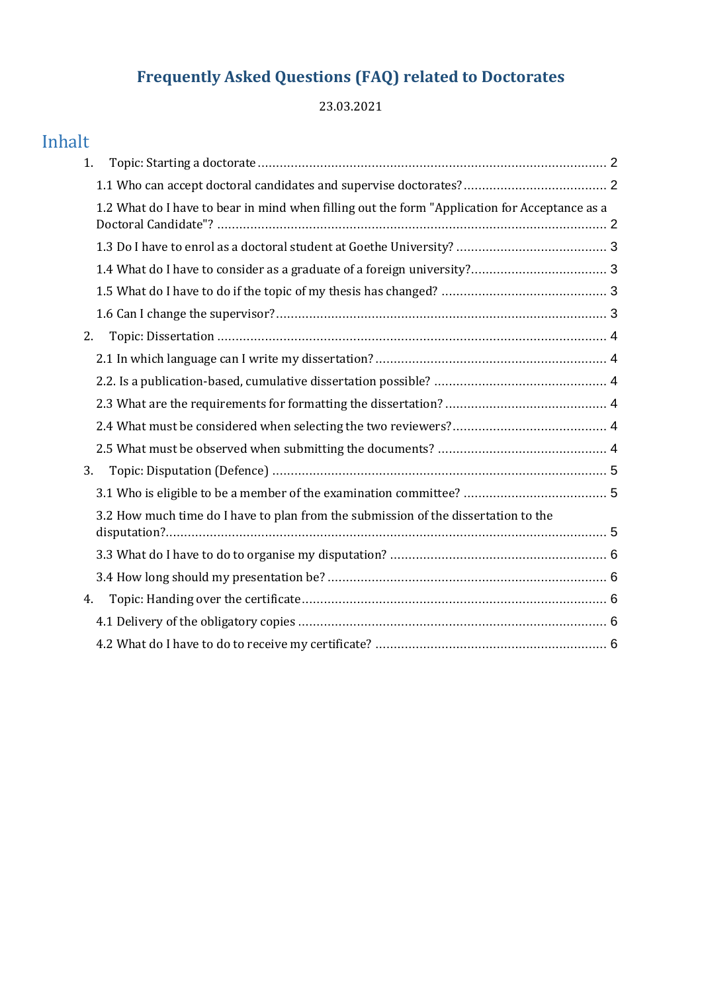# **Frequently Asked Questions (FAQ) related to Doctorates**

23.03.2021

# Inhalt

| 1.                                                                                            |  |
|-----------------------------------------------------------------------------------------------|--|
|                                                                                               |  |
| 1.2 What do I have to bear in mind when filling out the form "Application for Acceptance as a |  |
|                                                                                               |  |
|                                                                                               |  |
|                                                                                               |  |
|                                                                                               |  |
| 2.                                                                                            |  |
|                                                                                               |  |
|                                                                                               |  |
|                                                                                               |  |
|                                                                                               |  |
|                                                                                               |  |
| 3.                                                                                            |  |
|                                                                                               |  |
| 3.2 How much time do I have to plan from the submission of the dissertation to the            |  |
|                                                                                               |  |
|                                                                                               |  |
| 4.                                                                                            |  |
|                                                                                               |  |
|                                                                                               |  |
|                                                                                               |  |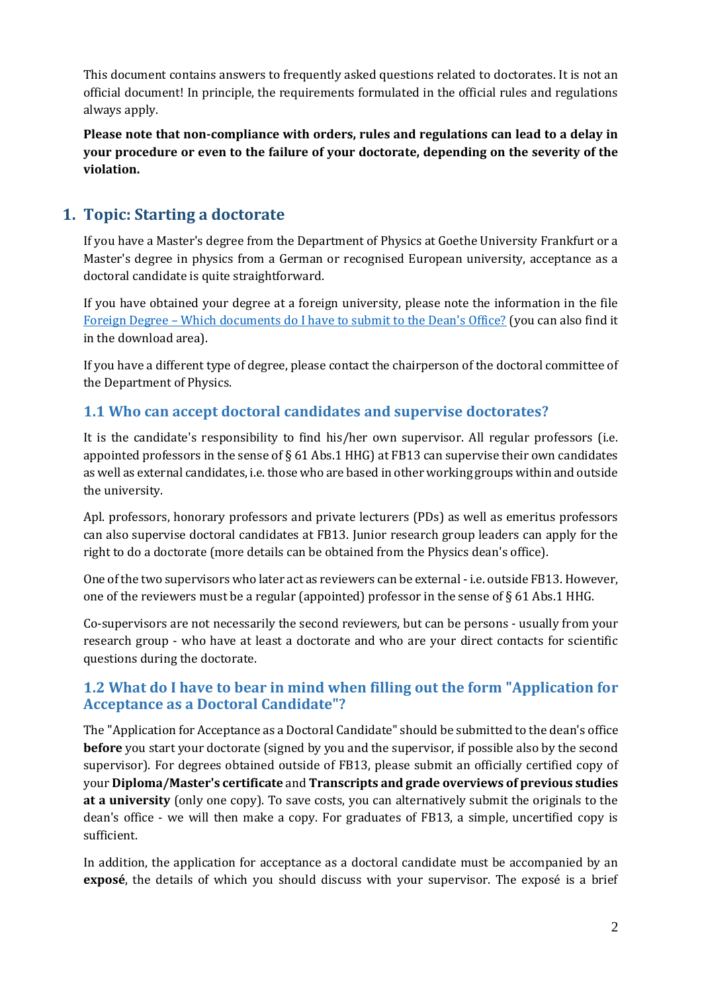This document contains answers to frequently asked questions related to doctorates. It is not an official document! In principle, the requirements formulated in the official rules and regulations always apply.

**Please note that non-compliance with orders, rules and regulations can lead to a delay in your procedure or even to the failure of your doctorate, depending on the severity of the violation.**

# <span id="page-1-0"></span>**1. Topic: Starting a doctorate**

If you have a Master's degree from the Department of Physics at Goethe University Frankfurt or a Master's degree in physics from a German or recognised European university, acceptance as a doctoral candidate is quite straightforward.

If you have obtained your degree at a foreign university, please note the information in the file Foreign Degree – [Which documents do I have to submit to the Dean's Office?](https://www.uni-frankfurt.de/99462730.pdf?) (you can also find it in the download area).

If you have a different type of degree, please contact the chairperson of the doctoral committee of the Department of Physics.

## <span id="page-1-1"></span>**1.1 Who can accept doctoral candidates and supervise doctorates?**

It is the candidate's responsibility to find his/her own supervisor. All regular professors (i.e. appointed professors in the sense of  $\S$  61 Abs.1 HHG) at FB13 can supervise their own candidates as well as external candidates, i.e. those who are based in other working groups within and outside the university.

Apl. professors, honorary professors and private lecturers (PDs) as well as emeritus professors can also supervise doctoral candidates at FB13. Junior research group leaders can apply for the right to do a doctorate (more details can be obtained from the Physics dean's office).

One of the two supervisors who later act as reviewers can be external - i.e. outside FB13. However, one of the reviewers must be a regular (appointed) professor in the sense of  $\S 61$  Abs.1 HHG.

Co-supervisors are not necessarily the second reviewers, but can be persons - usually from your research group - who have at least a doctorate and who are your direct contacts for scientific questions during the doctorate.

#### <span id="page-1-2"></span>**1.2 What do I have to bear in mind when filling out the form "Application for Acceptance as a Doctoral Candidate"?**

The "Application for Acceptance as a Doctoral Candidate" should be submitted to the dean's office **before** you start your doctorate (signed by you and the supervisor, if possible also by the second supervisor). For degrees obtained outside of FB13, please submit an officially certified copy of your **Diploma/Master's certificate** and **Transcripts and grade overviews of previous studies at a university** (only one copy). To save costs, you can alternatively submit the originals to the dean's office - we will then make a copy. For graduates of FB13, a simple, uncertified copy is sufficient.

In addition, the application for acceptance as a doctoral candidate must be accompanied by an **exposé**, the details of which you should discuss with your supervisor. The exposé is a brief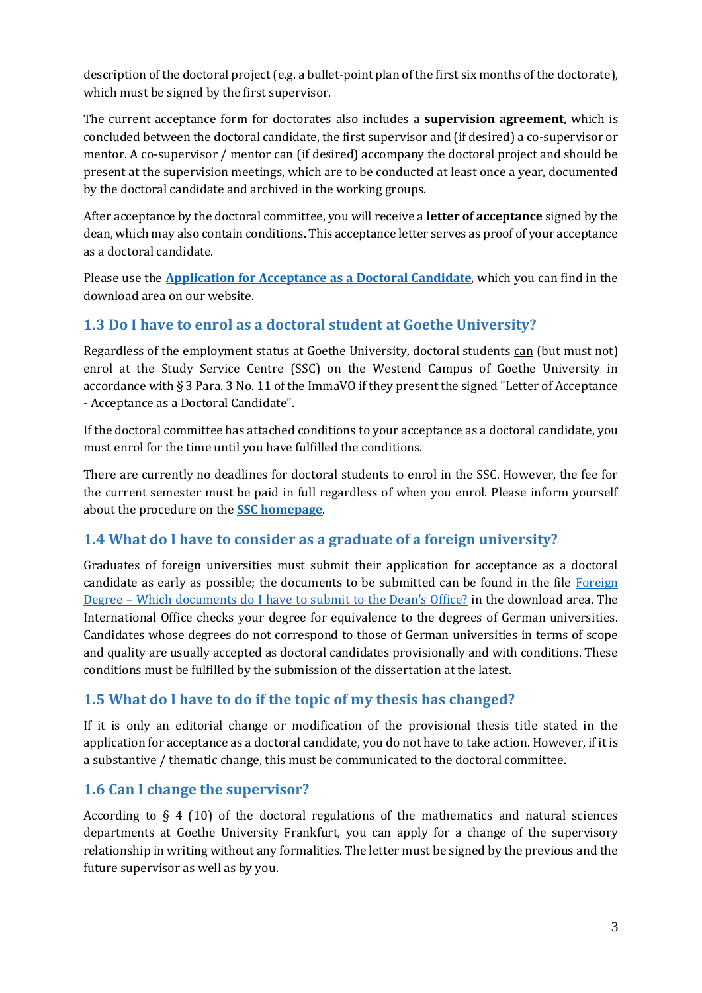description of the doctoral project (e.g. a bullet-point plan of the first six months of the doctorate), which must be signed by the first supervisor.

The current acceptance form for doctorates also includes a **supervision agreement**, which is concluded between the doctoral candidate, the first supervisor and (if desired) a co-supervisor or mentor. A co-supervisor / mentor can (if desired) accompany the doctoral project and should be present at the supervision meetings, which are to be conducted at least once a year, documented by the doctoral candidate and archived in the working groups.

After acceptance by the doctoral committee, you will receive a **letter of acceptance** signed by the dean, which may also contain conditions. This acceptance letter serves as proof of your acceptance as a doctoral candidate.

Please use the **[Application for Acceptance as a Doctoral Candidate](https://www.uni-frankfurt.de/75849349/annahme-als-doktorandin-neu-englisch_ausfullbar.pdf)**, which you can find in the download area on our website.

## <span id="page-2-0"></span>**1.3 Do I have to enrol as a doctoral student at Goethe University?**

Regardless of the employment status at Goethe University, doctoral students can (but must not) enrol at the Study Service Centre (SSC) on the Westend Campus of Goethe University in accordance with § 3 Para. 3 No. 11 of the ImmaVO if they present the signed "Letter of Acceptance - Acceptance as a Doctoral Candidate".

If the doctoral committee has attached conditions to your acceptance as a doctoral candidate, you must enrol for the time until you have fulfilled the conditions.

There are currently no deadlines for doctoral students to enrol in the SSC. However, the fee for the current semester must be paid in full regardless of when you enrol. Please inform yourself about the procedure on the **[SSC homepage](https://www.uni-frankfurt.de/91646199/Studium_an_der_Goethe_Universit%C3%A4t)**.

#### <span id="page-2-1"></span>**1.4 What do I have to consider as a graduate of a foreign university?**

Graduates of foreign universities must submit their application for acceptance as a doctoral candidate as early as possible; the documents to be submitted can be found in the file [Foreign](https://www.uni-frankfurt.de/99462730.pdf?)  Degree – [Which documents do I have to submit to the Dean's Office?](https://www.uni-frankfurt.de/99462730.pdf?) in the download area. The International Office checks your degree for equivalence to the degrees of German universities. Candidates whose degrees do not correspond to those of German universities in terms of scope and quality are usually accepted as doctoral candidates provisionally and with conditions. These conditions must be fulfilled by the submission of the dissertation at the latest.

#### <span id="page-2-2"></span>**1.5 What do I have to do if the topic of my thesis has changed?**

If it is only an editorial change or modification of the provisional thesis title stated in the application for acceptance as a doctoral candidate, you do not have to take action. However, if it is a substantive / thematic change, this must be communicated to the doctoral committee.

#### <span id="page-2-3"></span>**1.6 Can I change the supervisor?**

According to § 4 (10) of the doctoral regulations of the mathematics and natural sciences departments at Goethe University Frankfurt, you can apply for a change of the supervisory relationship in writing without any formalities. The letter must be signed by the previous and the future supervisor as well as by you.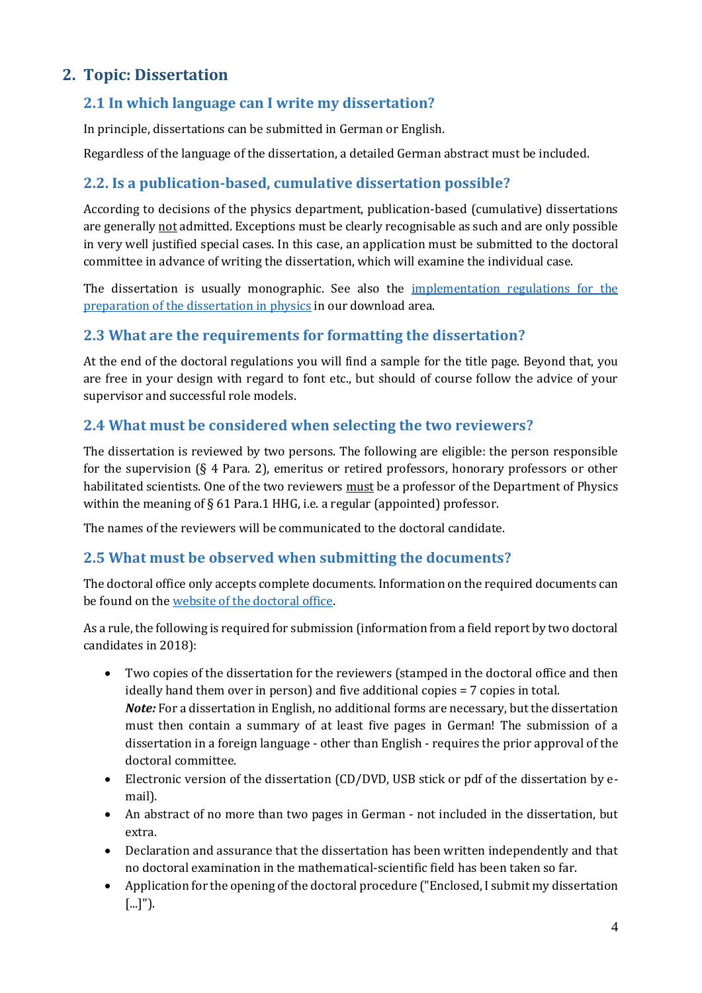# <span id="page-3-0"></span>**2. Topic: Dissertation**

#### <span id="page-3-1"></span>**2.1 In which language can I write my dissertation?**

In principle, dissertations can be submitted in German or English.

Regardless of the language of the dissertation, a detailed German abstract must be included.

### <span id="page-3-2"></span>**2.2. Is a publication-based, cumulative dissertation possible?**

According to decisions of the physics department, publication-based (cumulative) dissertations are generally not admitted. Exceptions must be clearly recognisable as such and are only possible in very well justified special cases. In this case, an application must be submitted to the doctoral committee in advance of writing the dissertation, which will examine the individual case.

The dissertation is usually monographic. See also the [implementation regulations for the](https://www.uni-frankfurt.de/95638934/wichtige-informationen-important-information.pdf)  [preparation of the dissertation in physics](https://www.uni-frankfurt.de/95638934/wichtige-informationen-important-information.pdf) in our download area.

#### <span id="page-3-3"></span>**2.3 What are the requirements for formatting the dissertation?**

At the end of the doctoral regulations you will find a sample for the title page. Beyond that, you are free in your design with regard to font etc., but should of course follow the advice of your supervisor and successful role models.

#### <span id="page-3-4"></span>**2.4 What must be considered when selecting the two reviewers?**

The dissertation is reviewed by two persons. The following are eligible: the person responsible for the supervision (§ 4 Para. 2), emeritus or retired professors, honorary professors or other habilitated scientists. One of the two reviewers must be a professor of the Department of Physics within the meaning of § 61 Para.1 HHG, i.e. a regular (appointed) professor.

The names of the reviewers will be communicated to the doctoral candidate.

#### <span id="page-3-5"></span>**2.5 What must be observed when submitting the documents?**

The doctoral office only accepts complete documents. Information on the required documents can be found on th[e website of the doctoral office.](https://www.uni-frankfurt.de/42800906/Promotionsb%C3%BCro_der_Mathematisch_Naturwissenschaftlichen_Fachbereiche)

As a rule, the following is required for submission (information from a field report by two doctoral candidates in 2018):

- Two copies of the dissertation for the reviewers (stamped in the doctoral office and then ideally hand them over in person) and five additional copies  $= 7$  copies in total. *Note:* For a dissertation in English, no additional forms are necessary, but the dissertation must then contain a summary of at least five pages in German! The submission of a dissertation in a foreign language - other than English - requires the prior approval of the doctoral committee.
- Electronic version of the dissertation (CD/DVD, USB stick or pdf of the dissertation by email).
- An abstract of no more than two pages in German not included in the dissertation, but extra.
- Declaration and assurance that the dissertation has been written independently and that no doctoral examination in the mathematical-scientific field has been taken so far.
- Application for the opening of the doctoral procedure ("Enclosed, I submit my dissertation [...]").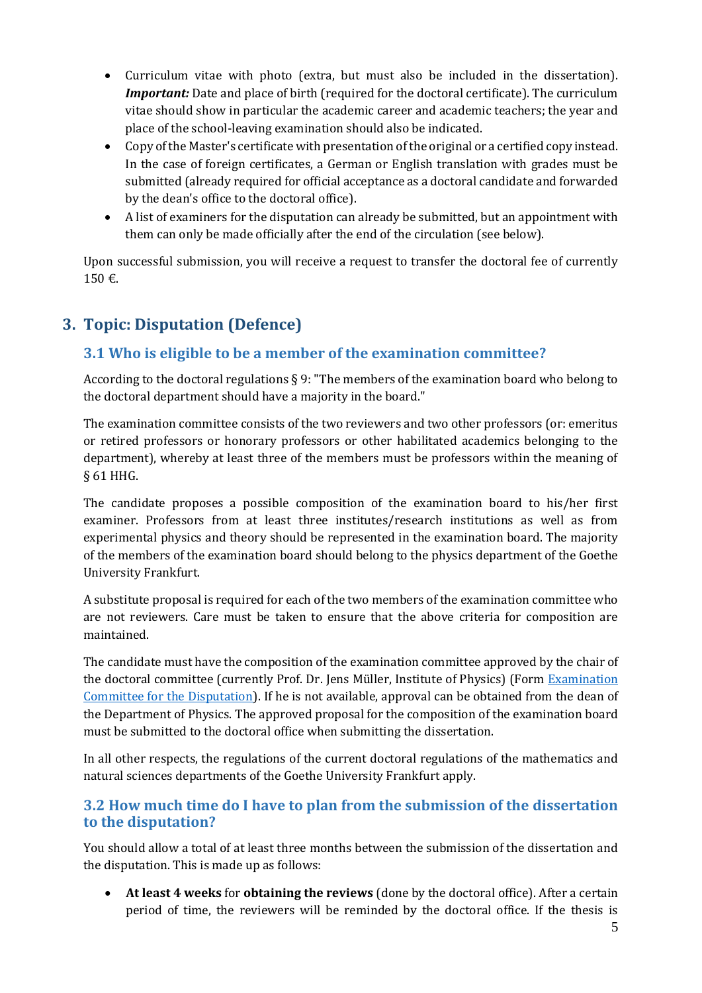- Curriculum vitae with photo (extra, but must also be included in the dissertation). *Important:* Date and place of birth (required for the doctoral certificate). The curriculum vitae should show in particular the academic career and academic teachers; the year and place of the school-leaving examination should also be indicated.
- Copy of the Master's certificate with presentation of the original or a certified copy instead. In the case of foreign certificates, a German or English translation with grades must be submitted (already required for official acceptance as a doctoral candidate and forwarded by the dean's office to the doctoral office).
- A list of examiners for the disputation can already be submitted, but an appointment with them can only be made officially after the end of the circulation (see below).

Upon successful submission, you will receive a request to transfer the doctoral fee of currently 150 €.

# <span id="page-4-0"></span>**3. Topic: Disputation (Defence)**

## <span id="page-4-1"></span>**3.1 Who is eligible to be a member of the examination committee?**

According to the doctoral regulations § 9: "The members of the examination board who belong to the doctoral department should have a majority in the board."

The examination committee consists of the two reviewers and two other professors (or: emeritus or retired professors or honorary professors or other habilitated academics belonging to the department), whereby at least three of the members must be professors within the meaning of § 61 HHG.

The candidate proposes a possible composition of the examination board to his/her first examiner. Professors from at least three institutes/research institutions as well as from experimental physics and theory should be represented in the examination board. The majority of the members of the examination board should belong to the physics department of the Goethe University Frankfurt.

A substitute proposal is required for each of the two members of the examination committee who are not reviewers. Care must be taken to ensure that the above criteria for composition are maintained.

The candidate must have the composition of the examination committee approved by the chair of the doctoral committee (currently Prof. Dr. Jens Müller, Institute of Physics) (Form [Examination](https://www.uni-frankfurt.de/42826380/135form_komm_phys.pdf)  [Committee for the Disputation\)](https://www.uni-frankfurt.de/42826380/135form_komm_phys.pdf). If he is not available, approval can be obtained from the dean of the Department of Physics. The approved proposal for the composition of the examination board must be submitted to the doctoral office when submitting the dissertation.

In all other respects, the regulations of the current doctoral regulations of the mathematics and natural sciences departments of the Goethe University Frankfurt apply.

#### <span id="page-4-2"></span>**3.2 How much time do I have to plan from the submission of the dissertation to the disputation?**

You should allow a total of at least three months between the submission of the dissertation and the disputation. This is made up as follows:

 **At least 4 weeks** for **obtaining the reviews** (done by the doctoral office). After a certain period of time, the reviewers will be reminded by the doctoral office. If the thesis is